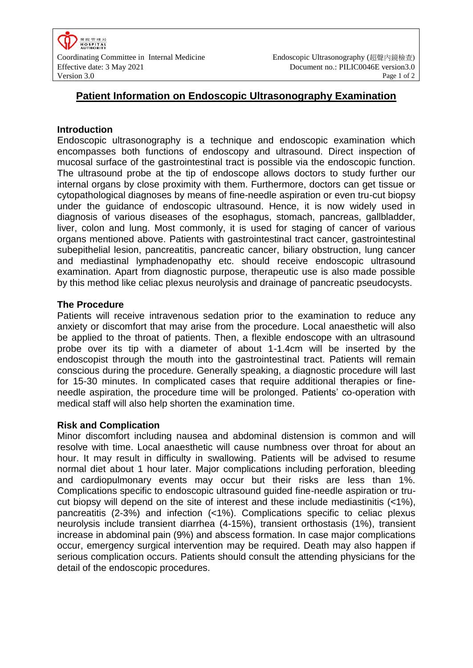

# **Patient Information on Endoscopic Ultrasonography Examination**

### **Introduction**

Endoscopic ultrasonography is a technique and endoscopic examination which encompasses both functions of endoscopy and ultrasound. Direct inspection of mucosal surface of the gastrointestinal tract is possible via the endoscopic function. The ultrasound probe at the tip of endoscope allows doctors to study further our internal organs by close proximity with them. Furthermore, doctors can get tissue or cytopathological diagnoses by means of fine-needle aspiration or even tru-cut biopsy under the guidance of endoscopic ultrasound. Hence, it is now widely used in diagnosis of various diseases of the esophagus, stomach, pancreas, gallbladder, liver, colon and lung. Most commonly, it is used for staging of cancer of various organs mentioned above. Patients with gastrointestinal tract cancer, gastrointestinal subepithelial lesion, pancreatitis, pancreatic cancer, biliary obstruction, lung cancer and mediastinal lymphadenopathy etc. should receive endoscopic ultrasound examination. Apart from diagnostic purpose, therapeutic use is also made possible by this method like celiac plexus neurolysis and drainage of pancreatic pseudocysts.

### **The Procedure**

Patients will receive intravenous sedation prior to the examination to reduce any anxiety or discomfort that may arise from the procedure. Local anaesthetic will also be applied to the throat of patients. Then, a flexible endoscope with an ultrasound probe over its tip with a diameter of about 1-1.4cm will be inserted by the endoscopist through the mouth into the gastrointestinal tract. Patients will remain conscious during the procedure. Generally speaking, a diagnostic procedure will last for 15-30 minutes. In complicated cases that require additional therapies or fineneedle aspiration, the procedure time will be prolonged. Patients' co-operation with medical staff will also help shorten the examination time.

## **Risk and Complication**

Minor discomfort including nausea and abdominal distension is common and will resolve with time. Local anaesthetic will cause numbness over throat for about an hour. It may result in difficulty in swallowing. Patients will be advised to resume normal diet about 1 hour later. Major complications including perforation, bleeding and cardiopulmonary events may occur but their risks are less than 1%. Complications specific to endoscopic ultrasound guided fine-needle aspiration or trucut biopsy will depend on the site of interest and these include mediastinitis (<1%), pancreatitis (2-3%) and infection (<1%). Complications specific to celiac plexus neurolysis include transient diarrhea (4-15%), transient orthostasis (1%), transient increase in abdominal pain (9%) and abscess formation. In case major complications occur, emergency surgical intervention may be required. Death may also happen if serious complication occurs. Patients should consult the attending physicians for the detail of the endoscopic procedures.